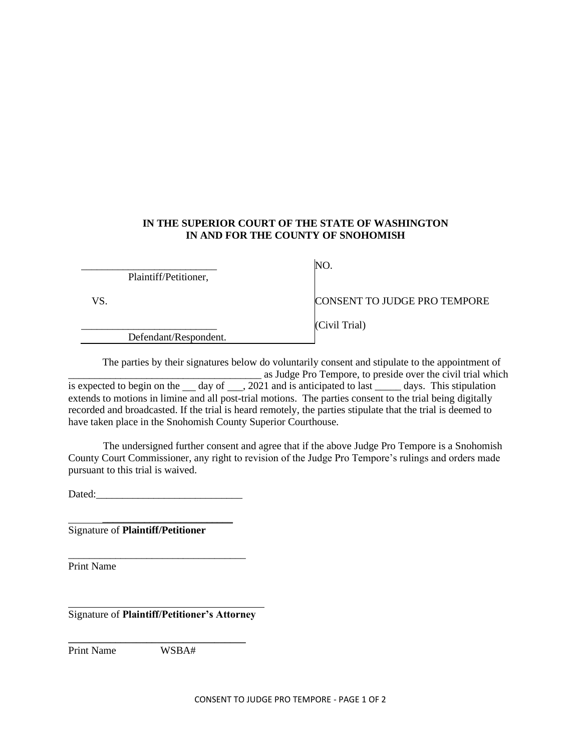## **IN THE SUPERIOR COURT OF THE STATE OF WASHINGTON IN AND FOR THE COUNTY OF SNOHOMISH**

\_\_\_\_\_\_\_\_\_\_\_\_\_\_\_\_\_\_\_\_\_\_\_\_\_\_ Plaintiff/Petitioner,

NO.

VS.

\_\_\_\_\_\_\_\_\_\_\_\_\_\_\_\_\_\_\_\_\_\_\_\_\_\_ Defendant/Respondent. CONSENT TO JUDGE PRO TEMPORE

(Civil Trial)

The parties by their signatures below do voluntarily consent and stipulate to the appointment of **Example 3** as Judge Pro Tempore, to preside over the civil trial which is expected to begin on the day of  $\frac{1}{2021}$  and is anticipated to last  $\frac{1}{2021}$  days. This stipulation extends to motions in limine and all post-trial motions. The parties consent to the trial being digitally recorded and broadcasted. If the trial is heard remotely, the parties stipulate that the trial is deemed to have taken place in the Snohomish County Superior Courthouse.

The undersigned further consent and agree that if the above Judge Pro Tempore is a Snohomish County Court Commissioner, any right to revision of the Judge Pro Tempore's rulings and orders made pursuant to this trial is waived.

Dated:

\_\_\_\_\_\_\_\_\_\_\_\_\_\_\_\_\_\_\_\_\_\_\_\_\_\_\_\_\_\_\_\_\_\_

\_\_\_\_\_\_\_\_\_\_\_\_\_\_\_\_\_\_\_\_\_\_\_\_\_

Signature of **Plaintiff/Petitioner**

Print Name

Signature of **Plaintiff/Petitioner's Attorney**

Print Name WSBA#

**\_\_\_\_\_\_\_\_\_\_\_\_\_\_\_\_\_\_\_\_\_\_\_\_\_\_\_\_\_\_\_\_\_\_**